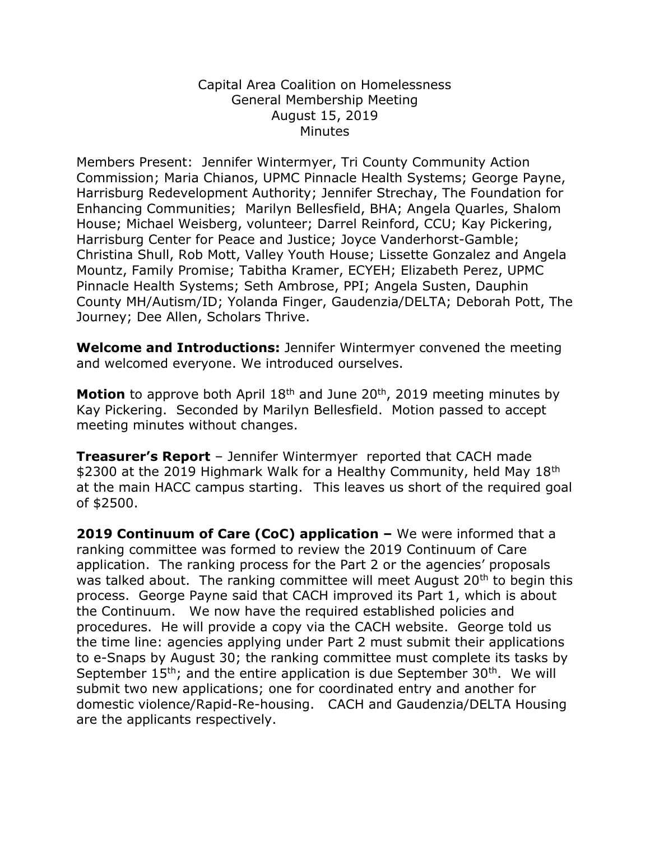## Capital Area Coalition on Homelessness General Membership Meeting August 15, 2019 **Minutes**

Members Present: Jennifer Wintermyer, Tri County Community Action Commission; Maria Chianos, UPMC Pinnacle Health Systems; George Payne, Harrisburg Redevelopment Authority; Jennifer Strechay, The Foundation for Enhancing Communities; Marilyn Bellesfield, BHA; Angela Quarles, Shalom House; Michael Weisberg, volunteer; Darrel Reinford, CCU; Kay Pickering, Harrisburg Center for Peace and Justice; Joyce Vanderhorst-Gamble; Christina Shull, Rob Mott, Valley Youth House; Lissette Gonzalez and Angela Mountz, Family Promise; Tabitha Kramer, ECYEH; Elizabeth Perez, UPMC Pinnacle Health Systems; Seth Ambrose, PPI; Angela Susten, Dauphin County MH/Autism/ID; Yolanda Finger, Gaudenzia/DELTA; Deborah Pott, The Journey; Dee Allen, Scholars Thrive.

**Welcome and Introductions:** Jennifer Wintermyer convened the meeting and welcomed everyone. We introduced ourselves.

Motion to approve both April 18<sup>th</sup> and June 20<sup>th</sup>, 2019 meeting minutes by Kay Pickering. Seconded by Marilyn Bellesfield. Motion passed to accept meeting minutes without changes.

**Treasurer's Report** – Jennifer Wintermyer reported that CACH made \$2300 at the 2019 Highmark Walk for a Healthy Community, held May 18<sup>th</sup> at the main HACC campus starting. This leaves us short of the required goal of \$2500.

**2019 Continuum of Care (CoC) application –** We were informed that a ranking committee was formed to review the 2019 Continuum of Care application. The ranking process for the Part 2 or the agencies' proposals was talked about. The ranking committee will meet August 20<sup>th</sup> to begin this process. George Payne said that CACH improved its Part 1, which is about the Continuum. We now have the required established policies and procedures. He will provide a copy via the CACH website. George told us the time line: agencies applying under Part 2 must submit their applications to e-Snaps by August 30; the ranking committee must complete its tasks by September  $15<sup>th</sup>$ ; and the entire application is due September 30<sup>th</sup>. We will submit two new applications; one for coordinated entry and another for domestic violence/Rapid-Re-housing. CACH and Gaudenzia/DELTA Housing are the applicants respectively.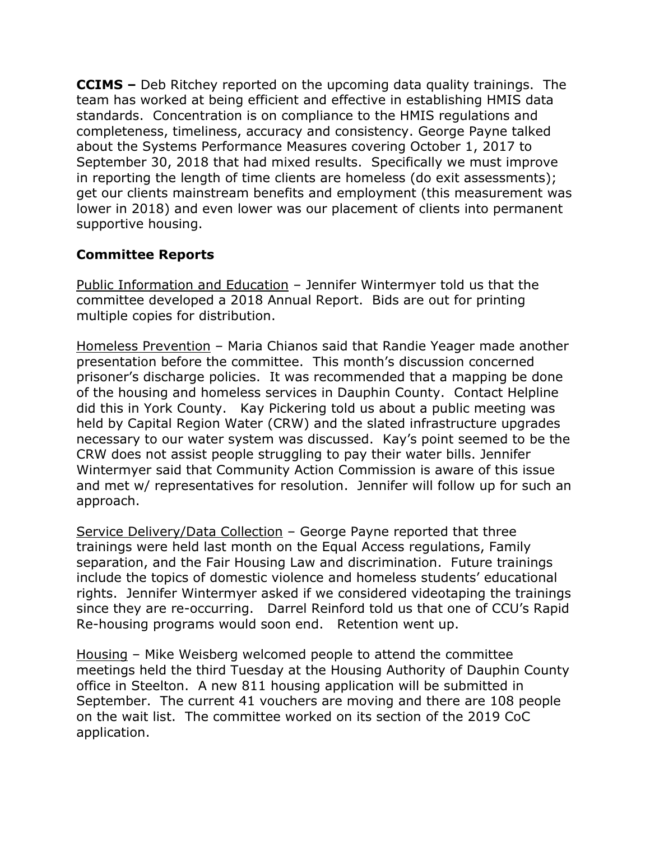**CCIMS –** Deb Ritchey reported on the upcoming data quality trainings. The team has worked at being efficient and effective in establishing HMIS data standards. Concentration is on compliance to the HMIS regulations and completeness, timeliness, accuracy and consistency. George Payne talked about the Systems Performance Measures covering October 1, 2017 to September 30, 2018 that had mixed results. Specifically we must improve in reporting the length of time clients are homeless (do exit assessments); get our clients mainstream benefits and employment (this measurement was lower in 2018) and even lower was our placement of clients into permanent supportive housing.

## **Committee Reports**

Public Information and Education – Jennifer Wintermyer told us that the committee developed a 2018 Annual Report. Bids are out for printing multiple copies for distribution.

Homeless Prevention – Maria Chianos said that Randie Yeager made another presentation before the committee. This month's discussion concerned prisoner's discharge policies. It was recommended that a mapping be done of the housing and homeless services in Dauphin County. Contact Helpline did this in York County. Kay Pickering told us about a public meeting was held by Capital Region Water (CRW) and the slated infrastructure upgrades necessary to our water system was discussed. Kay's point seemed to be the CRW does not assist people struggling to pay their water bills. Jennifer Wintermyer said that Community Action Commission is aware of this issue and met w/ representatives for resolution. Jennifer will follow up for such an approach.

Service Delivery/Data Collection – George Payne reported that three trainings were held last month on the Equal Access regulations, Family separation, and the Fair Housing Law and discrimination. Future trainings include the topics of domestic violence and homeless students' educational rights. Jennifer Wintermyer asked if we considered videotaping the trainings since they are re-occurring. Darrel Reinford told us that one of CCU's Rapid Re-housing programs would soon end. Retention went up.

Housing – Mike Weisberg welcomed people to attend the committee meetings held the third Tuesday at the Housing Authority of Dauphin County office in Steelton. A new 811 housing application will be submitted in September. The current 41 vouchers are moving and there are 108 people on the wait list. The committee worked on its section of the 2019 CoC application.